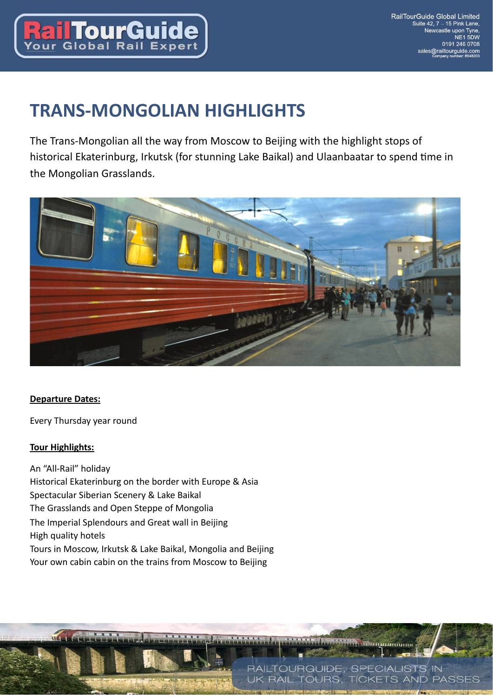

# **TRANS-MONGOLIAN HIGHLIGHTS**

The Trans-Mongolian all the way from Moscow to Beijing with the highlight stops of historical Ekaterinburg, Irkutsk (for stunning Lake Baikal) and Ulaanbaatar to spend time in the Mongolian Grasslands.



## **Departure Dates:**

Every Thursday year round

#### **Tour Highlights:**

 $\overline{\mathbf{u}}$ 

An "All-Rail" holiday Historical Ekaterinburg on the border with Europe & Asia Spectacular Siberian Scenery & Lake Baikal The Grasslands and Open Steppe of Mongolia The Imperial Splendours and Great wall in Beijing High quality hotels Tours in Moscow, Irkutsk & Lake Baikal, Mongolia and Beijing Your own cabin cabin on the trains from Moscow to Beijing

**Digitalitania** 

RAILTOURGUIDE, SPECIALISTS IN **RAIL TOURS, TICKETS AND PASSES**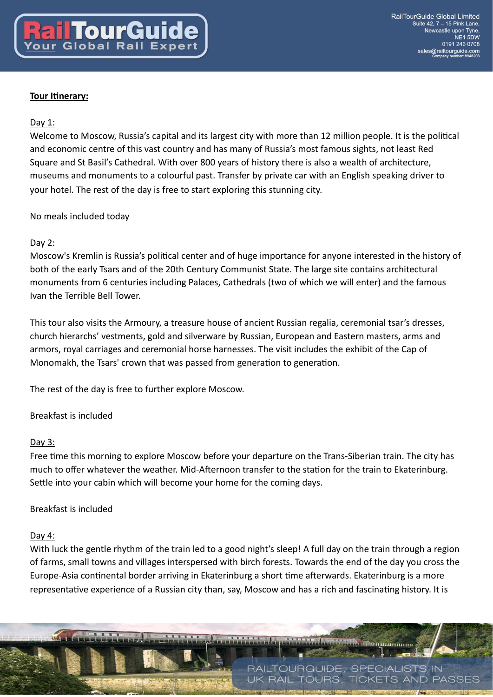#### **Tour Itinerary:**

#### Day 1:

Welcome to Moscow, Russia's capital and its largest city with more than 12 million people. It is the political and economic centre of this vast country and has many of Russia's most famous sights, not least Red Square and St Basil's Cathedral. With over 800 years of history there is also a wealth of architecture, museums and monuments to a colourful past. Transfer by private car with an English speaking driver to your hotel. The rest of the day is free to start exploring this stunning city.

No meals included today

#### Day 2:

Moscow's Kremlin is Russia's political center and of huge importance for anyone interested in the history of both of the early Tsars and of the 20th Century Communist State. The large site contains architectural monuments from 6 centuries including Palaces, Cathedrals (two of which we will enter) and the famous Ivan the Terrible Bell Tower.

This tour also visits the Armoury, a treasure house of ancient Russian regalia, ceremonial tsar's dresses, church hierarchs' vestments, gold and silverware by Russian, European and Eastern masters, arms and armors, royal carriages and ceremonial horse harnesses. The visit includes the exhibit of the Cap of Monomakh, the Tsars' crown that was passed from generation to generation.

The rest of the day is free to further explore Moscow.

Breakfast is included

#### Day  $3$ :

Free time this morning to explore Moscow before your departure on the Trans-Siberian train. The city has much to offer whatever the weather. Mid-Afternoon transfer to the station for the train to Ekaterinburg. Settle into your cabin which will become your home for the coming days.

#### Breakfast is included

#### Day 4:

With luck the gentle rhythm of the train led to a good night's sleep! A full day on the train through a region of farms, small towns and villages interspersed with birch forests. Towards the end of the day you cross the Europe-Asia continental border arriving in Ekaterinburg a short time afterwards. Ekaterinburg is a more representative experience of a Russian city than, say, Moscow and has a rich and fascinating history. It is

**Энилипипи** 

**RAIL TOURS. TICKETS AND PASSES** 

RAILTOURGUIDE, SPECIALISTS IN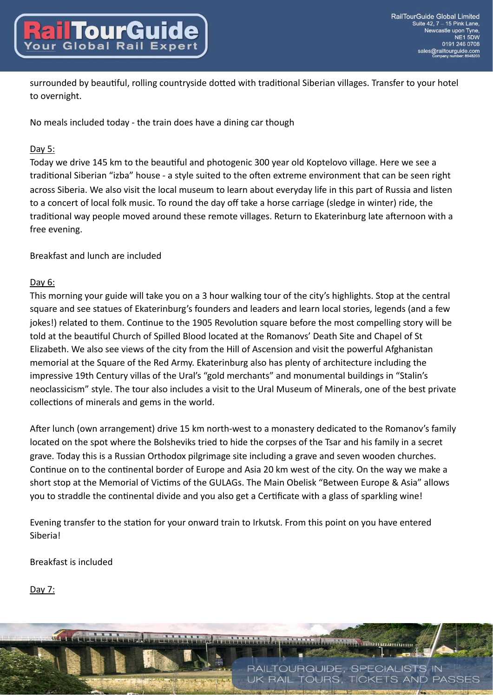surrounded by beautiful, rolling countryside dotted with traditional Siberian villages. Transfer to your hotel to overnight.

No meals included today - the train does have a dining car though

# Day 5:

Today we drive 145 km to the beautiful and photogenic 300 year old Koptelovo village. Here we see a traditional Siberian "izba" house - a style suited to the often extreme environment that can be seen right across Siberia. We also visit the local museum to learn about everyday life in this part of Russia and listen to a concert of local folk music. To round the day off take a horse carriage (sledge in winter) ride, the traditional way people moved around these remote villages. Return to Ekaterinburg late afternoon with a free evening.

Breakfast and lunch are included

# Day 6:

This morning your guide will take you on a 3 hour walking tour of the city's highlights. Stop at the central square and see statues of Ekaterinburg's founders and leaders and learn local stories, legends (and a few jokes!) related to them. Continue to the 1905 Revolution square before the most compelling story will be told at the beautiful Church of Spilled Blood located at the Romanovs' Death Site and Chapel of St Elizabeth. We also see views of the city from the Hill of Ascension and visit the powerful Afghanistan memorial at the Square of the Red Army. Ekaterinburg also has plenty of architecture including the impressive 19th Century villas of the Ural's "gold merchants" and monumental buildings in "Stalin's neoclassicism" style. The tour also includes a visit to the Ural Museum of Minerals, one of the best private collections of minerals and gems in the world.

After lunch (own arrangement) drive 15 km north-west to a monastery dedicated to the Romanov's family located on the spot where the Bolsheviks tried to hide the corpses of the Tsar and his family in a secret grave. Today this is a Russian Orthodox pilgrimage site including a grave and seven wooden churches. Continue on to the continental border of Europe and Asia 20 km west of the city. On the way we make a short stop at the Memorial of Victims of the GULAGs. The Main Obelisk "Between Europe & Asia" allows you to straddle the continental divide and you also get a Certificate with a glass of sparkling wine!

Evening transfer to the station for your onward train to Irkutsk. From this point on you have entered **Siberial** 

Breakfast is included

Day 7:

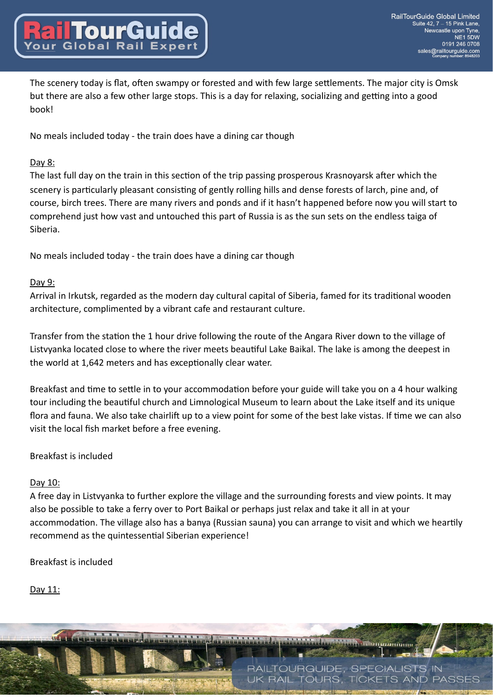The scenery today is flat, often swampy or forested and with few large settlements. The major city is Omsk but there are also a few other large stops. This is a day for relaxing, socializing and getting into a good hook!

No meals included today - the train does have a dining car though

## Day 8:

The last full day on the train in this section of the trip passing prosperous Krasnoyarsk after which the scenery is particularly pleasant consisting of gently rolling hills and dense forests of larch, pine and, of course, birch trees. There are many rivers and ponds and if it hasn't happened before now you will start to comprehend just how vast and untouched this part of Russia is as the sun sets on the endless taiga of Siberia.

No meals included today - the train does have a dining car though

# Day 9:

Arrival in Irkutsk, regarded as the modern day cultural capital of Siberia, famed for its traditional wooden architecture, complimented by a vibrant cafe and restaurant culture.

Transfer from the station the 1 hour drive following the route of the Angara River down to the village of Listvyanka located close to where the river meets beautiful Lake Baikal. The lake is among the deepest in the world at 1,642 meters and has exceptionally clear water.

Breakfast and time to settle in to your accommodation before your guide will take you on a 4 hour walking tour including the beautiful church and Limnological Museum to learn about the Lake itself and its unique flora and fauna. We also take chairlift up to a view point for some of the best lake vistas. If time we can also visit the local fish market before a free evening.

## Breakfast is included

## Day 10:

A free day in Listvyanka to further explore the village and the surrounding forests and view points. It may also be possible to take a ferry over to Port Baikal or perhaps just relax and take it all in at your accommodation. The village also has a banya (Russian sauna) you can arrange to visit and which we heartily recommend as the quintessential Siberian experience!

Breakfast is included

# Day 11:

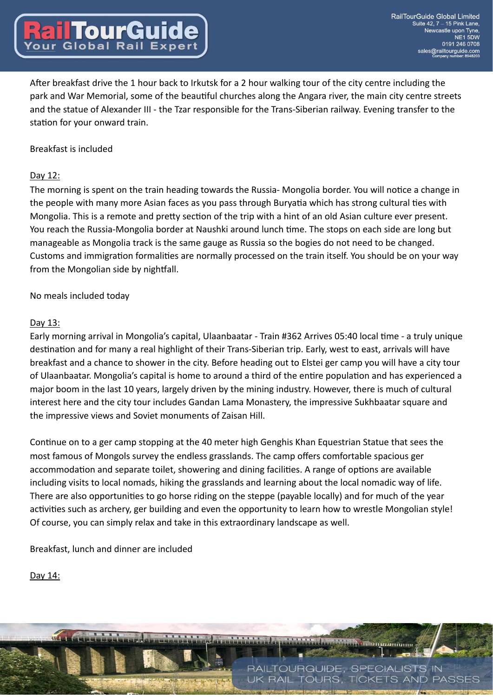After breakfast drive the 1 hour back to Irkutsk for a 2 hour walking tour of the city centre including the park and War Memorial, some of the beautiful churches along the Angara river, the main city centre streets and the statue of Alexander III - the Tzar responsible for the Trans-Siberian railway. Evening transfer to the station for your onward train.

#### Breakfast is included

**TourGu** 

#### Day 12:

The morning is spent on the train heading towards the Russia- Mongolia border. You will notice a change in the people with many more Asian faces as you pass through Buryatia which has strong cultural ties with Mongolia. This is a remote and pretty section of the trip with a hint of an old Asian culture ever present. You reach the Russia-Mongolia border at Naushki around lunch time. The stops on each side are long but manageable as Mongolia track is the same gauge as Russia so the bogies do not need to be changed. Customs and immigration formalities are normally processed on the train itself. You should be on your way from the Mongolian side by nightfall.

No meals included today

#### Day 13:

Early morning arrival in Mongolia's capital, Ulaanbaatar - Train #362 Arrives 05:40 local time - a truly unique destination and for many a real highlight of their Trans-Siberian trip. Early, west to east, arrivals will have breakfast and a chance to shower in the city. Before heading out to Elstei ger camp you will have a city tour of Ulaanbaatar. Mongolia's capital is home to around a third of the entire population and has experienced a major boom in the last 10 years, largely driven by the mining industry. However, there is much of cultural interest here and the city tour includes Gandan Lama Monastery, the impressive Sukhbaatar square and the impressive views and Soviet monuments of Zaisan Hill.

Continue on to a ger camp stopping at the 40 meter high Genghis Khan Equestrian Statue that sees the most famous of Mongols survey the endless grasslands. The camp offers comfortable spacious ger accommodation and separate toilet, showering and dining facilities. A range of options are available including visits to local nomads, hiking the grasslands and learning about the local nomadic way of life. There are also opportunities to go horse riding on the steppe (payable locally) and for much of the year activities such as archery, ger building and even the opportunity to learn how to wrestle Mongolian style! Of course, you can simply relax and take in this extraordinary landscape as well.

Breakfast, lunch and dinner are included

Day 14:

RAILTOURGUIDE, SPECIALISTS IN **RAIL TOURS. TICKETS AND PASSES** 

**Le organismus**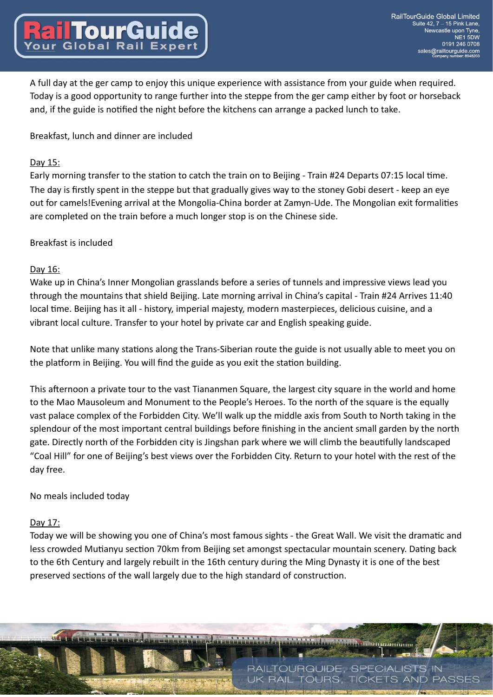A full day at the ger camp to enjoy this unique experience with assistance from your guide when required. Today is a good opportunity to range further into the steppe from the ger camp either by foot or horseback and, if the guide is notified the night before the kitchens can arrange a packed lunch to take.

Breakfast, lunch and dinner are included

### Day 15:

Early morning transfer to the station to catch the train on to Beijing - Train #24 Departs 07:15 local time. The day is firstly spent in the steppe but that gradually gives way to the stoney Gobi desert - keep an eye out for camels! Evening arrival at the Mongolia-China border at Zamyn-Ude. The Mongolian exit formalities are completed on the train before a much longer stop is on the Chinese side.

## Breakfast is included

#### Day 16:

Wake up in China's Inner Mongolian grasslands before a series of tunnels and impressive views lead you through the mountains that shield Beijing. Late morning arrival in China's capital - Train #24 Arrives 11:40 local time. Beijing has it all - history, imperial majesty, modern masterpieces, delicious cuisine, and a vibrant local culture. Transfer to your hotel by private car and English speaking guide.

Note that unlike many stations along the Trans-Siberian route the guide is not usually able to meet you on the platform in Beijing. You will find the guide as you exit the station building.

This afternoon a private tour to the vast Tiananmen Square, the largest city square in the world and home to the Mao Mausoleum and Monument to the People's Heroes. To the north of the square is the equally vast palace complex of the Forbidden City. We'll walk up the middle axis from South to North taking in the splendour of the most important central buildings before finishing in the ancient small garden by the north gate. Directly north of the Forbidden city is Jingshan park where we will climb the beautifully landscaped "Coal Hill" for one of Beijing's best views over the Forbidden City. Return to your hotel with the rest of the day free.

## No meals included today

## Day 17:

Today we will be showing you one of China's most famous sights - the Great Wall. We visit the dramatic and less crowded Mutianyu section 70km from Beijing set amongst spectacular mountain scenery. Dating back to the 6th Century and largely rebuilt in the 16th century during the Ming Dynasty it is one of the best preserved sections of the wall largely due to the high standard of construction.

**Dimminion** 

**RAIL TOURS. TICKETS AND PASSES** 

RAILTOURGUIDE, SPECIALISTS IN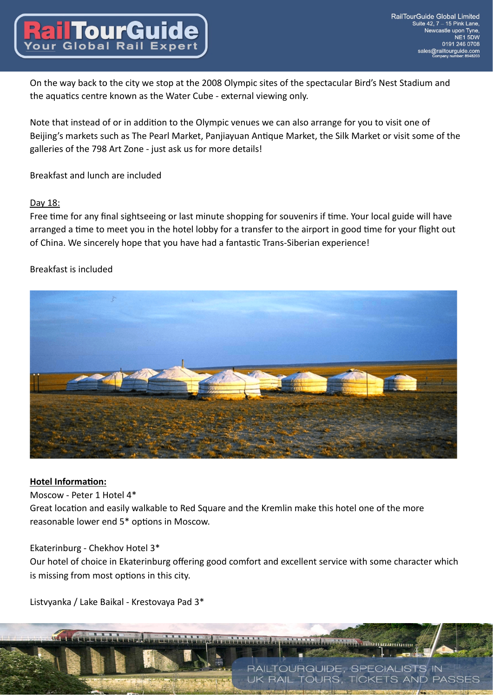On the way back to the city we stop at the 2008 Olympic sites of the spectacular Bird's Nest Stadium and the aquatics centre known as the Water Cube - external viewing only.

Note that instead of or in addition to the Olympic venues we can also arrange for you to visit one of Beijing's markets such as The Pearl Market, Panjiayuan Antique Market, the Silk Market or visit some of the galleries of the 798 Art Zone - just ask us for more details!

Breakfast and lunch are included

# Day 18:

Free time for any final sightseeing or last minute shopping for souvenirs if time. Your local guide will have arranged a time to meet you in the hotel lobby for a transfer to the airport in good time for your flight out of China. We sincerely hope that you have had a fantastic Trans-Siberian experience!

# Breakfast is included



## **Hotel Information:**

Moscow - Peter 1 Hotel 4\*

Great location and easily walkable to Red Square and the Kremlin make this hotel one of the more reasonable lower end 5\* options in Moscow.

## Ekaterinburg - Chekhov Hotel 3\*

Our hotel of choice in Ekaterinburg offering good comfort and excellent service with some character which is missing from most options in this city.

**Le organismus** 

**RAIL TOURS. TICKETS AND PASSES** 

RAILTOURGUIDE, SPECIALISTS IN

Listvyanka / Lake Baikal - Krestovaya Pad 3\*